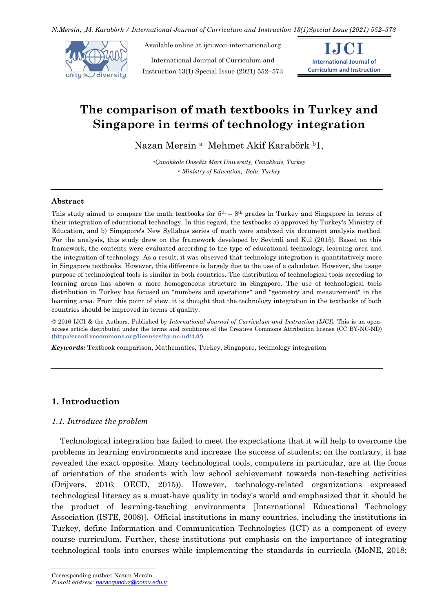*N.Mersin, ,M. Karabörk / International Journal of Curriculum and Instruction 13(1)Special Issue (2021) 552–573*



Available online at ijci.wcci-international.org

International Journal of Curriculum and Instruction 13(1) Special Issue (2021) 552–573



# **The comparison of math textbooks in Turkey and Singapore in terms of technology integration**

Nazan Mersin <sup>a</sup> Mehmet Akif Karabörk <sup>b</sup>1,

*<sup>a</sup>Çanakkale Onsekiz Mart University, Çanakkale, Turkey <sup>b</sup> Ministry of Education, Bolu, Turkey*

## **Abstract**

This study aimed to compare the math textbooks for  $5<sup>th</sup> - 8<sup>th</sup>$  grades in Turkey and Singapore in terms of their integration of educational technology. In this regard, the textbooks a) approved by Turkey's Ministry of Education, and b) Singapore's New Syllabus series of math were analyzed via document analysis method. For the analysis, this study drew on the framework developed by Sevimli and Kul (2015). Based on this framework, the contents were evaluated according to the type of educational technology, learning area and the integration of technology. As a result, it was observed that technology integration is quantitatively more in Singapore textbooks. However, this difference is largely due to the use of a calculator. However, the usage purpose of technological tools is similar in both countries. The distribution of technological tools according to learning areas has shown a more homogeneous structure in Singapore. The use of technological tools distribution in Turkey has focused on "numbers and operations" and "geometry and measurement" in the learning area. From this point of view, it is thought that the technology integration in the textbooks of both countries should be improved in terms of quality.

© 2016 IJCI & the Authors. Published by *International Journal of Curriculum and Instruction (IJCI)*. This is an openaccess article distributed under the terms and conditions of the Creative Commons Attribution license (CC BY-NC-ND) (**http://creativecommons.org/licenses/by-nc-nd/4.0/**).

*Keywords:* Textbook comparison, Mathematics, Turkey, Singapore, technology integration

# **1. Introduction**

# *1.1. Introduce the problem*

Technological integration has failed to meet the expectations that it will help to overcome the problems in learning environments and increase the success of students; on the contrary, it has revealed the exact opposite. Many technological tools, computers in particular, are at the focus of orientation of the students with low school achievement towards non-teaching activities (Drijvers, 2016; OECD, 2015)). However, technology-related organizations expressed technological literacy as a must-have quality in today's world and emphasized that it should be the product of learning-teaching environments [International Educational Technology Association (ISTE, 2008)]. Official institutions in many countries, including the institutions in Turkey, define Information and Communication Technologies (ICT) as a component of every course curriculum. Further, these institutions put emphasis on the importance of integrating technological tools into courses while implementing the standards in curricula (MoNE, 2018;

 $\overline{a}$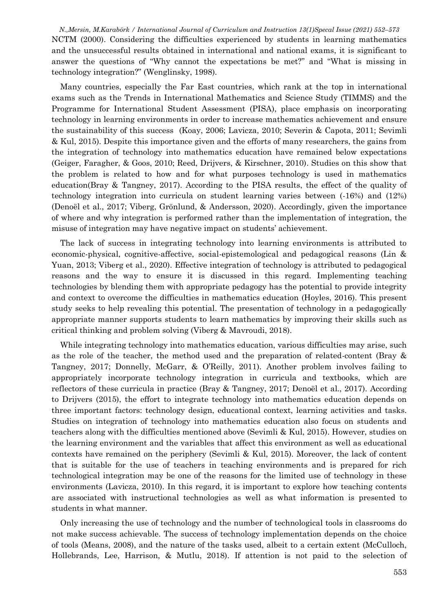*N.,Mersin, M.Karabörk / International Journal of Curriculum and Instruction 13(1)Specal Issue (2021) 552–573* NCTM (2000). Considering the difficulties experienced by students in learning mathematics and the unsuccessful results obtained in international and national exams, it is significant to answer the questions of "Why cannot the expectations be met?" and "What is missing in technology integration?" (Wenglinsky, 1998).

Many countries, especially the Far East countries, which rank at the top in international exams such as the Trends in International Mathematics and Science Study (TIMMS) and the Programme for International Student Assessment (PISA), place emphasis on incorporating technology in learning environments in order to increase mathematics achievement and ensure the sustainability of this success (Koay, 2006; Lavicza, 2010; Severin & Capota, 2011; Sevimli & Kul, 2015). Despite this importance given and the efforts of many researchers, the gains from the integration of technology into mathematics education have remained below expectations (Geiger, Faragher, & Goos, 2010; Reed, Drijvers, & Kirschner, 2010). Studies on this show that the problem is related to how and for what purposes technology is used in mathematics education(Bray & Tangney, 2017). According to the PISA results, the effect of the quality of technology integration into curricula on student learning varies between (-16%) and (12%) (Denoël et al., 2017; Viberg, Grönlund, & Andersson, 2020). Accordingly, given the importance of where and why integration is performed rather than the implementation of integration, the misuse of integration may have negative impact on students' achievement.

The lack of success in integrating technology into learning environments is attributed to economic-physical, cognitive-affective, social-epistemological and pedagogical reasons (Lin & Yuan, 2013; Viberg et al., 2020). Effective integration of technology is attributed to pedagogical reasons and the way to ensure it is discussed in this regard. Implementing teaching technologies by blending them with appropriate pedagogy has the potential to provide integrity and context to overcome the difficulties in mathematics education (Hoyles, 2016). This present study seeks to help revealing this potential. The presentation of technology in a pedagogically appropriate manner supports students to learn mathematics by improving their skills such as critical thinking and problem solving (Viberg & Mavroudi, 2018).

While integrating technology into mathematics education, various difficulties may arise, such as the role of the teacher, the method used and the preparation of related-content (Bray & Tangney, 2017; Donnelly, McGarr, & O'Reilly, 2011). Another problem involves failing to appropriately incorporate technology integration in curricula and textbooks, which are reflectors of these curricula in practice (Bray & Tangney, 2017; Denoël et al., 2017). According to Drijvers (2015), the effort to integrate technology into mathematics education depends on three important factors: technology design, educational context, learning activities and tasks. Studies on integration of technology into mathematics education also focus on students and teachers along with the difficulties mentioned above (Sevimli & Kul, 2015). However, studies on the learning environment and the variables that affect this environment as well as educational contexts have remained on the periphery (Sevimli & Kul, 2015). Moreover, the lack of content that is suitable for the use of teachers in teaching environments and is prepared for rich technological integration may be one of the reasons for the limited use of technology in these environments (Lavicza, 2010). In this regard, it is important to explore how teaching contents are associated with instructional technologies as well as what information is presented to students in what manner.

Only increasing the use of technology and the number of technological tools in classrooms do not make success achievable. The success of technology implementation depends on the choice of tools (Means, 2008), and the nature of the tasks used, albeit to a certain extent (McCulloch, Hollebrands, Lee, Harrison, & Mutlu, 2018). If attention is not paid to the selection of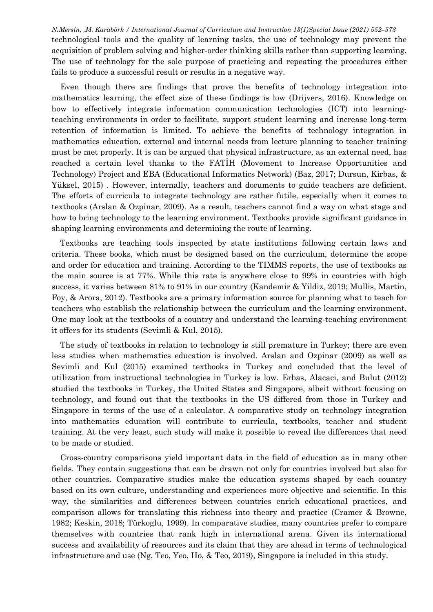*N.Mersin, ,M. Karabörk / International Journal of Curriculum and Instruction 13(1)Special Issue (2021) 552–573* technological tools and the quality of learning tasks, the use of technology may prevent the acquisition of problem solving and higher-order thinking skills rather than supporting learning. The use of technology for the sole purpose of practicing and repeating the procedures either fails to produce a successful result or results in a negative way.

Even though there are findings that prove the benefits of technology integration into mathematics learning, the effect size of these findings is low (Drijvers, 2016). Knowledge on how to effectively integrate information communication technologies (ICT) into learningteaching environments in order to facilitate, support student learning and increase long-term retention of information is limited. To achieve the benefits of technology integration in mathematics education, external and internal needs from lecture planning to teacher training must be met properly. It is can be argued that physical infrastructure, as an external need, has reached a certain level thanks to the FATİH (Movement to Increase Opportunities and Technology) Project and EBA (Educational Informatics Network) (Baz, 2017; Dursun, Kirbas, & Yüksel, 2015) . However, internally, teachers and documents to guide teachers are deficient. The efforts of curricula to integrate technology are rather futile, especially when it comes to textbooks (Arslan & Ozpinar, 2009). As a result, teachers cannot find a way on what stage and how to bring technology to the learning environment. Textbooks provide significant guidance in shaping learning environments and determining the route of learning.

Textbooks are teaching tools inspected by state institutions following certain laws and criteria. These books, which must be designed based on the curriculum, determine the scope and order for education and training. According to the TIMMS reports, the use of textbooks as the main source is at 77%. While this rate is anywhere close to 99% in countries with high success, it varies between 81% to 91% in our country (Kandemir & Yildiz, 2019; Mullis, Martin, Foy, & Arora, 2012). Textbooks are a primary information source for planning what to teach for teachers who establish the relationship between the curriculum and the learning environment. One may look at the textbooks of a country and understand the learning-teaching environment it offers for its students (Sevimli & Kul, 2015).

The study of textbooks in relation to technology is still premature in Turkey; there are even less studies when mathematics education is involved. Arslan and Ozpinar (2009) as well as Sevimli and Kul (2015) examined textbooks in Turkey and concluded that the level of utilization from instructional technologies in Turkey is low. Erbas, Alacaci, and Bulut (2012) studied the textbooks in Turkey, the United States and Singapore, albeit without focusing on technology, and found out that the textbooks in the US differed from those in Turkey and Singapore in terms of the use of a calculator. A comparative study on technology integration into mathematics education will contribute to curricula, textbooks, teacher and student training. At the very least, such study will make it possible to reveal the differences that need to be made or studied.

Cross-country comparisons yield important data in the field of education as in many other fields. They contain suggestions that can be drawn not only for countries involved but also for other countries. Comparative studies make the education systems shaped by each country based on its own culture, understanding and experiences more objective and scientific. In this way, the similarities and differences between countries enrich educational practices, and comparison allows for translating this richness into theory and practice (Cramer & Browne, 1982; Keskin, 2018; Türkoglu, 1999). In comparative studies, many countries prefer to compare themselves with countries that rank high in international arena. Given its international success and availability of resources and its claim that they are ahead in terms of technological infrastructure and use (Ng, Teo, Yeo, Ho, & Teo, 2019), Singapore is included in this study.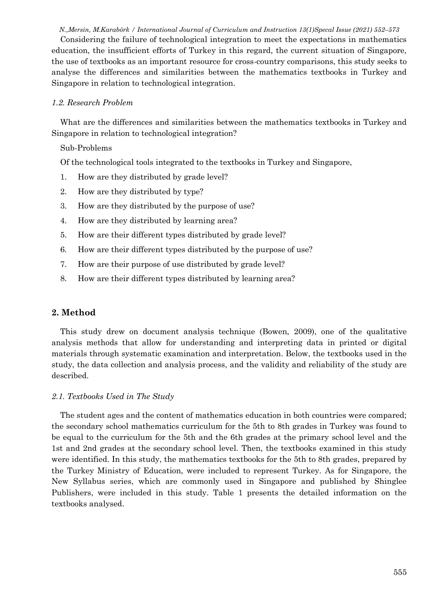*N.,Mersin, M.Karabörk / International Journal of Curriculum and Instruction 13(1)Specal Issue (2021) 552–573*

Considering the failure of technological integration to meet the expectations in mathematics education, the insufficient efforts of Turkey in this regard, the current situation of Singapore, the use of textbooks as an important resource for cross-country comparisons, this study seeks to analyse the differences and similarities between the mathematics textbooks in Turkey and Singapore in relation to technological integration.

# *1.2. Research Problem*

What are the differences and similarities between the mathematics textbooks in Turkey and Singapore in relation to technological integration?

# Sub-Problems

Of the technological tools integrated to the textbooks in Turkey and Singapore,

- 1. How are they distributed by grade level?
- 2. How are they distributed by type?
- 3. How are they distributed by the purpose of use?
- 4. How are they distributed by learning area?
- 5. How are their different types distributed by grade level?
- 6. How are their different types distributed by the purpose of use?
- 7. How are their purpose of use distributed by grade level?
- 8. How are their different types distributed by learning area?

# **2. Method**

This study drew on document analysis technique (Bowen, 2009), one of the qualitative analysis methods that allow for understanding and interpreting data in printed or digital materials through systematic examination and interpretation. Below, the textbooks used in the study, the data collection and analysis process, and the validity and reliability of the study are described.

## *2.1. Textbooks Used in The Study*

The student ages and the content of mathematics education in both countries were compared; the secondary school mathematics curriculum for the 5th to 8th grades in Turkey was found to be equal to the curriculum for the 5th and the 6th grades at the primary school level and the 1st and 2nd grades at the secondary school level. Then, the textbooks examined in this study were identified. In this study, the mathematics textbooks for the 5th to 8th grades, prepared by the Turkey Ministry of Education, were included to represent Turkey. As for Singapore, the New Syllabus series, which are commonly used in Singapore and published by Shinglee Publishers, were included in this study. Table 1 presents the detailed information on the textbooks analysed.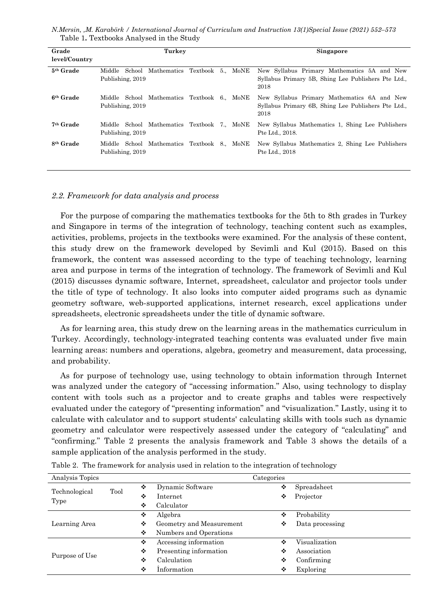*N.Mersin, ,M. Karabörk / International Journal of Curriculum and Instruction 13(1)Special Issue (2021) 552–573* Table 1**.** Textbooks Analysed in the Study

| Grade<br>level/Country | Turkey                                                              | <b>Singapore</b>                                                                                           |  |  |  |  |
|------------------------|---------------------------------------------------------------------|------------------------------------------------------------------------------------------------------------|--|--|--|--|
| 5 <sup>th</sup> Grade  | Mathematics Textbook 5 MoNE<br>Middle<br>School<br>Publishing, 2019 | New Syllabus Primary Mathematics 5A and New<br>Syllabus Primary 5B, Shing Lee Publishers Pte Ltd.,<br>2018 |  |  |  |  |
| 6 <sup>th</sup> Grade  | School Mathematics Textbook 6. MoNE<br>Middle<br>Publishing, 2019   | New Syllabus Primary Mathematics 6A and New<br>Syllabus Primary 6B, Shing Lee Publishers Pte Ltd.,<br>2018 |  |  |  |  |
| <sup>7th</sup> Grade   | Middle School Mathematics Textbook 7. MoNE<br>Publishing, 2019      | New Syllabus Mathematics 1, Shing Lee Publishers<br>Pte Ltd., 2018.                                        |  |  |  |  |
| 8 <sup>th</sup> Grade  | Middle School Mathematics Textbook 8., MoNE<br>Publishing, 2019     | New Syllabus Mathematics 2, Shing Lee Publishers<br>Pte Ltd., 2018                                         |  |  |  |  |

#### *2.2. Framework for data analysis and process*

For the purpose of comparing the mathematics textbooks for the 5th to 8th grades in Turkey and Singapore in terms of the integration of technology, teaching content such as examples, activities, problems, projects in the textbooks were examined. For the analysis of these content, this study drew on the framework developed by Sevimli and Kul (2015). Based on this framework, the content was assessed according to the type of teaching technology, learning area and purpose in terms of the integration of technology. The framework of Sevimli and Kul (2015) discusses dynamic software, Internet, spreadsheet, calculator and projector tools under the title of type of technology. It also looks into computer aided programs such as dynamic geometry software, web-supported applications, internet research, excel applications under spreadsheets, electronic spreadsheets under the title of dynamic software.

As for learning area, this study drew on the learning areas in the mathematics curriculum in Turkey. Accordingly, technology-integrated teaching contents was evaluated under five main learning areas: numbers and operations, algebra, geometry and measurement, data processing, and probability.

As for purpose of technology use, using technology to obtain information through Internet was analyzed under the category of "accessing information." Also, using technology to display content with tools such as a projector and to create graphs and tables were respectively evaluated under the category of "presenting information" and "visualization." Lastly, using it to calculate with calculator and to support students' calculating skills with tools such as dynamic geometry and calculator were respectively assessed under the category of "calculating" and "confirming." Table 2 presents the analysis framework and Table 3 shows the details of a sample application of the analysis performed in the study.

| Analysis Topics |      |   |                          | Categories |                 |
|-----------------|------|---|--------------------------|------------|-----------------|
| Technological   | Tool | ❖ | Dynamic Software         | ❖          | Spreadsheet     |
| Type            |      | ❖ | Internet                 |            | Projector       |
|                 |      | ❖ | Calculator               |            |                 |
|                 |      | ❖ | Algebra                  | ❖          | Probability     |
| Learning Area   |      | ❖ | Geometry and Measurement | ٠          | Data processing |
|                 |      | ❖ | Numbers and Operations   |            |                 |
|                 |      | ❖ | Accessing information    | ❖          | Visualization   |
| Purpose of Use  |      | ❖ | Presenting information   | ❖          | Association     |
|                 |      | ❖ | Calculation              | ❖          | Confirming      |
|                 | ❖    |   | Information              | ٠          | Exploring       |
|                 |      |   |                          |            |                 |

Table 2. The framework for analysis used in relation to the integration of technology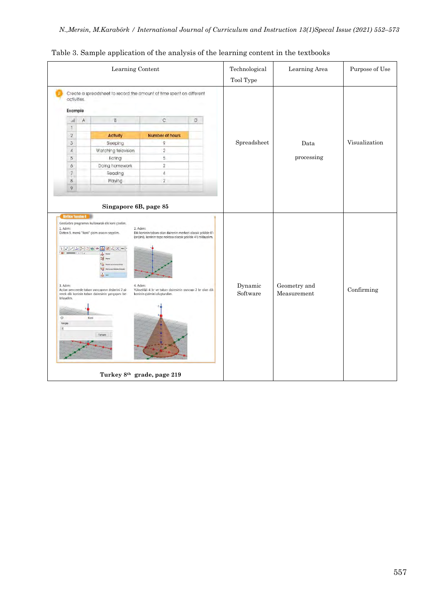|                |              | Learning Content                                                                                       |                                                                                                         |   | Technological       | Learning Area               | Purpose of Use |  |
|----------------|--------------|--------------------------------------------------------------------------------------------------------|---------------------------------------------------------------------------------------------------------|---|---------------------|-----------------------------|----------------|--|
|                | activities.  |                                                                                                        | Create a spreadsheet to record the amount of time spent on different                                    |   | Tool Type           |                             |                |  |
|                | Example      |                                                                                                        |                                                                                                         |   |                     |                             |                |  |
| м              | $\mathsf{A}$ | B.                                                                                                     | C                                                                                                       | D |                     |                             |                |  |
| $\uparrow$     |              |                                                                                                        |                                                                                                         |   |                     |                             |                |  |
| $\sqrt{2}$     |              | <b>Activity</b>                                                                                        | <b>Number of hours</b>                                                                                  |   |                     |                             |                |  |
| $\overline{3}$ |              | Sleeping                                                                                               | 9                                                                                                       |   | Spreadsheet         | Data                        | Visualization  |  |
| $\it 4$        |              | Watching television                                                                                    | $\overline{2}$                                                                                          |   |                     |                             |                |  |
| 5              |              | Eating                                                                                                 | 5                                                                                                       |   |                     | processing                  |                |  |
| 6              |              | Doing homework                                                                                         | $\,2$                                                                                                   |   |                     |                             |                |  |
| $\overline{7}$ |              | Reading                                                                                                | $\Delta$                                                                                                |   |                     |                             |                |  |
| $\bar{8}$      |              | Playing                                                                                                | $\overline{2}$                                                                                          |   |                     |                             |                |  |
| 9              |              |                                                                                                        |                                                                                                         |   |                     |                             |                |  |
|                |              | A A A A C A C A N AG C<br>哥                                                                            |                                                                                                         |   |                     |                             |                |  |
| 3. Adim:       |              | Acılan pencerede taban varıcapının değerini 2 gi-<br>rerek dik koninin taban dairesinin yarıçapını be- | 4. Adım:<br>Yüksekliği 4 br ve taban dairesinin yarıcapı 2 br olan dik<br>koninin çizimini oluşturalım. |   | Dynamic<br>Software | Geometry and<br>Measurement | Confirming     |  |

Table 3. Sample application of the analysis of the learning content in the textbooks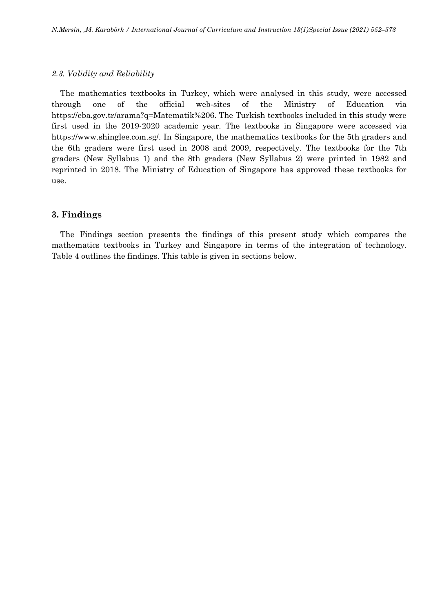## *2.3. Validity and Reliability*

The mathematics textbooks in Turkey, which were analysed in this study, were accessed through one of the official web-sites of the Ministry of Education via https://eba.gov.tr/arama?q=Matematik%206. The Turkish textbooks included in this study were first used in the 2019-2020 academic year. The textbooks in Singapore were accessed via https://www.shinglee.com.sg/. In Singapore, the mathematics textbooks for the 5th graders and the 6th graders were first used in 2008 and 2009, respectively. The textbooks for the 7th graders (New Syllabus 1) and the 8th graders (New Syllabus 2) were printed in 1982 and reprinted in 2018. The Ministry of Education of Singapore has approved these textbooks for use.

## **3. Findings**

The Findings section presents the findings of this present study which compares the mathematics textbooks in Turkey and Singapore in terms of the integration of technology. Table 4 outlines the findings. This table is given in sections below.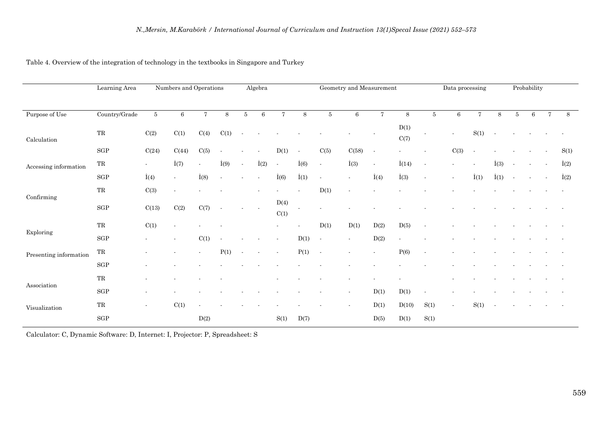|  |  |  | Table 4. Overview of the integration of technology in the textbooks in Singapore and Turkey |  |
|--|--|--|---------------------------------------------------------------------------------------------|--|
|  |  |  |                                                                                             |  |

|                              | Learning Area       |                          | Numbers and Operations   |                          |                          |        | Algebra                  |                          |              |        | Geometry and Measurement |                          |               |      | Data processing |              |              |       | Probability |                |              |
|------------------------------|---------------------|--------------------------|--------------------------|--------------------------|--------------------------|--------|--------------------------|--------------------------|--------------|--------|--------------------------|--------------------------|---------------|------|-----------------|--------------|--------------|-------|-------------|----------------|--------------|
| Purpose of Use               | Country/Grade       | $5\,$                    | 6                        | $\overline{7}$           | 8                        | 5      | $\,6\,$                  | $\overline{7}$           | 8            | 5      | 6                        | $\overline{7}$           | 8             | 5    | $6\phantom{.}6$ | $\tau$       | $\,8\,$      | $5\,$ | 6           | $\overline{7}$ | 8            |
| $\operatorname{Calculation}$ | TR                  | C(2)                     | C(1)                     | C(4)                     | C(1)                     |        |                          |                          |              |        |                          |                          | D(1)<br>C(7)  |      |                 | S(1)         |              |       |             |                |              |
|                              | $_{\rm SGP}$        | C(24)                    | C(44)                    | C(5)                     | $\blacksquare$           |        |                          | D(1)                     | $\sim$       | C(5)   | C(58)                    | $\sim$                   |               |      | C(3)            | $\sim$       |              |       |             |                | S(1)         |
| Accessing information        | $\operatorname{TR}$ | $\blacksquare$           | $\dot{I}(7)$             | $\blacksquare$           | $\dot{I}(9)$             | $\sim$ | $\dot{I}(2)$             | $\overline{\phantom{a}}$ | $\dot{I}(6)$ | $\sim$ | $\dot{I}(3)$             | $\overline{\phantom{a}}$ | $\dot{I}(14)$ |      |                 |              | $\dot{I}(3)$ |       |             |                | $\dot{I}(2)$ |
|                              | $_{\rm SGP}$        | $\dot{I}(4)$             | $\blacksquare$           | $\dot{I}(8)$             |                          |        |                          | $\dot{I}(6)$             | $\dot{I}(1)$ |        | ٠                        | $\dot{I}(4)$             | $\dot{I}(3)$  |      |                 | $\dot{I}(1)$ | $\dot{I}(1)$ |       |             |                | $\dot{I}(2)$ |
|                              | $\operatorname{TR}$ | C(3)                     | $\overline{\phantom{a}}$ |                          |                          |        |                          |                          |              | D(1)   |                          |                          |               |      |                 |              |              |       |             |                |              |
| Confirming                   | $_{\rm SGP}$        | C(13)                    | C(2)                     | C(7)                     | $\overline{\phantom{a}}$ |        |                          | D(4)<br>C(1)             |              |        |                          |                          |               |      |                 |              |              |       |             |                |              |
| Exploring                    | $\operatorname{TR}$ | C(1)                     | $\blacksquare$           |                          |                          |        |                          |                          |              | D(1)   | D(1)                     | D(2)                     | D(5)          |      |                 |              |              |       |             |                |              |
|                              | $_{\rm SGP}$        |                          | $\sim$                   | C(1)                     | $\overline{\phantom{a}}$ |        |                          | $\overline{\phantom{a}}$ | D(1)         |        | $\blacksquare$           | D(2)                     |               |      |                 |              |              |       |             |                |              |
| Presenting information       | $\operatorname{TR}$ |                          |                          | $\overline{\phantom{0}}$ | P(1)                     |        | $\overline{\phantom{a}}$ |                          | P(1)         | $\sim$ |                          |                          | P(6)          |      |                 |              |              |       |             |                |              |
|                              | $_{\rm SGP}$        |                          |                          |                          |                          |        |                          |                          |              |        |                          |                          |               |      |                 |              |              |       |             |                |              |
|                              | $_{\rm TR}$         |                          |                          |                          |                          |        |                          |                          |              |        |                          |                          |               |      |                 |              |              |       |             |                |              |
| Association                  | $_{\rm SGP}$        |                          |                          |                          |                          |        |                          |                          |              |        | $\blacksquare$           | D(1)                     | D(1)          |      |                 |              |              |       |             |                |              |
| Visualization                | TR                  | $\overline{\phantom{a}}$ | C(1)                     |                          |                          |        |                          |                          |              |        |                          | D(1)                     | D(10)         | S(1) |                 | S(1)         |              |       |             |                |              |
|                              | $_{\rm SGP}$        |                          |                          | D(2)                     |                          |        |                          | S(1)                     | D(7)         |        |                          | D(5)                     | D(1)          | S(1) |                 |              |              |       |             |                |              |

Calculator: C, Dynamic Software: D, Internet: I, Projector: P, Spreadsheet: S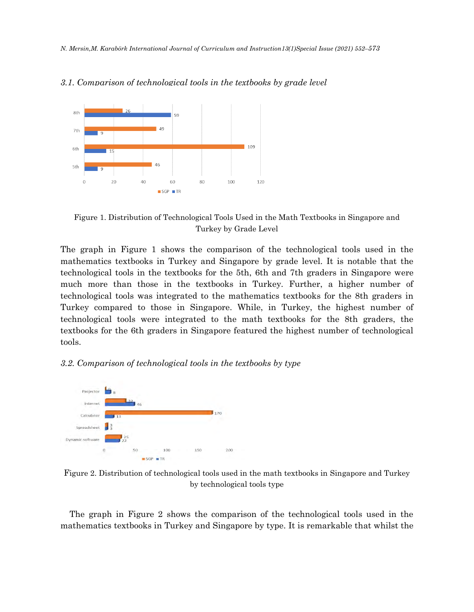*N. Mersin,M. Karabörk International Journal of Curriculum and Instruction13(1)Special Issue (2021) 552–573*



#### *3.1. Comparison of technological tools in the textbooks by grade level*

Figure 1. Distribution of Technological Tools Used in the Math Textbooks in Singapore and Turkey by Grade Level

The graph in Figure 1 shows the comparison of the technological tools used in the mathematics textbooks in Turkey and Singapore by grade level. It is notable that the technological tools in the textbooks for the 5th, 6th and 7th graders in Singapore were much more than those in the textbooks in Turkey. Further, a higher number of technological tools was integrated to the mathematics textbooks for the 8th graders in Turkey compared to those in Singapore. While, in Turkey, the highest number of technological tools were integrated to the math textbooks for the 8th graders, the textbooks for the 6th graders in Singapore featured the highest number of technological tools.

#### *3.2. Comparison of technological tools in the textbooks by type*



Figure 2. Distribution of technological tools used in the math textbooks in Singapore and Turkey by technological tools type

The graph in Figure 2 shows the comparison of the technological tools used in the mathematics textbooks in Turkey and Singapore by type. It is remarkable that whilst the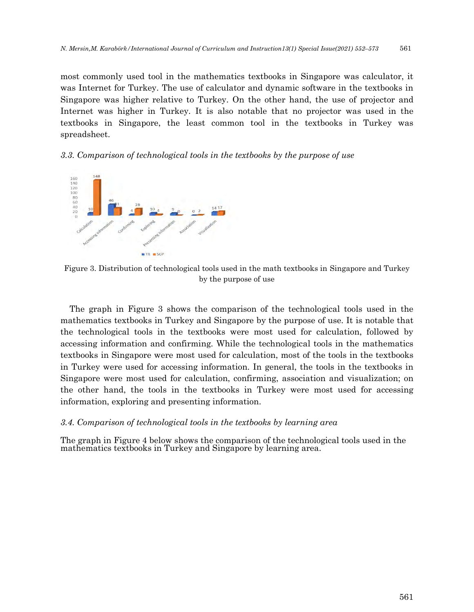most commonly used tool in the mathematics textbooks in Singapore was calculator, it was Internet for Turkey. The use of calculator and dynamic software in the textbooks in Singapore was higher relative to Turkey. On the other hand, the use of projector and Internet was higher in Turkey. It is also notable that no projector was used in the textbooks in Singapore, the least common tool in the textbooks in Turkey was spreadsheet.

#### *3.3. Comparison of technological tools in the textbooks by the purpose of use*



Figure 3. Distribution of technological tools used in the math textbooks in Singapore and Turkey by the purpose of use

The graph in Figure 3 shows the comparison of the technological tools used in the mathematics textbooks in Turkey and Singapore by the purpose of use. It is notable that the technological tools in the textbooks were most used for calculation, followed by accessing information and confirming. While the technological tools in the mathematics textbooks in Singapore were most used for calculation, most of the tools in the textbooks in Turkey were used for accessing information. In general, the tools in the textbooks in Singapore were most used for calculation, confirming, association and visualization; on the other hand, the tools in the textbooks in Turkey were most used for accessing information, exploring and presenting information.

#### *3.4. Comparison of technological tools in the textbooks by learning area*

The graph in Figure 4 below shows the comparison of the technological tools used in the mathematics textbooks in Turkey and Singapore by learning area.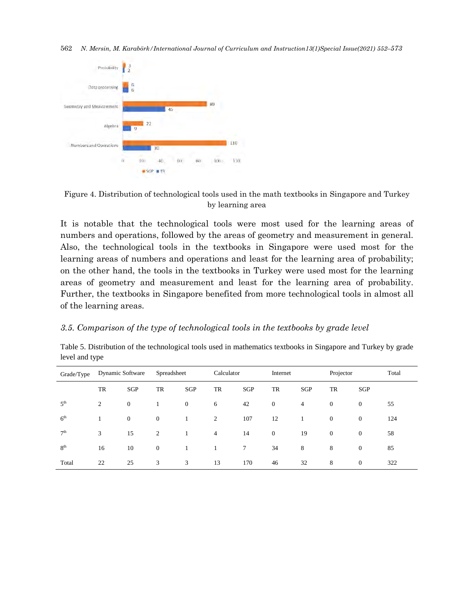562 *N. Mersin, M. Karabörk/International Journal of Curriculum and Instruction13(1)Special Issue(2021) 552–573*





It is notable that the technological tools were most used for the learning areas of numbers and operations, followed by the areas of geometry and measurement in general. Also, the technological tools in the textbooks in Singapore were used most for the learning areas of numbers and operations and least for the learning area of probability; on the other hand, the tools in the textbooks in Turkey were used most for the learning areas of geometry and measurement and least for the learning area of probability. Further, the textbooks in Singapore benefited from more technological tools in almost all of the learning areas.

## *3.5. Comparison of the type of technological tools in the textbooks by grade level*

Table 5. Distribution of the technological tools used in mathematics textbooks in Singapore and Turkey by grade level and type

| Grade/Type      | <b>Dynamic Software</b> |                | Spreadsheet    |                |                | Calculator  |                | Internet       |                | Projector      |     |
|-----------------|-------------------------|----------------|----------------|----------------|----------------|-------------|----------------|----------------|----------------|----------------|-----|
|                 | TR                      | SGP            | TR             | SGP            | TR             | SGP         | TR             | SGP            | TR             | SGP            |     |
| 5 <sup>th</sup> | $\overline{2}$          | $\overline{0}$ |                | $\overline{0}$ | 6              | 42          | $\overline{0}$ | $\overline{4}$ | $\overline{0}$ | $\overline{0}$ | 55  |
| 6 <sup>th</sup> |                         | $\overline{0}$ | $\overline{0}$ |                | 2              | 107         | 12             |                | $\overline{0}$ | $\overline{0}$ | 124 |
| 7 <sup>th</sup> | 3                       | 15             | 2              |                | $\overline{4}$ | 14          | $\overline{0}$ | 19             | $\overline{0}$ | $\overline{0}$ | 58  |
| 8 <sup>th</sup> | 16                      | 10             | $\overline{0}$ |                |                | $7^{\circ}$ | 34             | 8              | 8              | $\overline{0}$ | 85  |
| Total           | 22                      | 25             | 3              | 3              | 13             | 170         | 46             | 32             | 8              | $\overline{0}$ | 322 |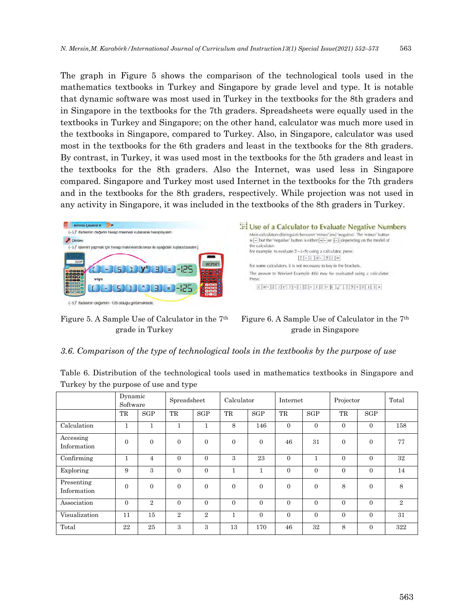The graph in Figure 5 shows the comparison of the technological tools used in the mathematics textbooks in Turkey and Singapore by grade level and type. It is notable that dynamic software was most used in Turkey in the textbooks for the 8th graders and in Singapore in the textbooks for the 7th graders. Spreadsheets were equally used in the textbooks in Turkey and Singapore; on the other hand, calculator was much more used in the textbooks in Singapore, compared to Turkey. Also, in Singapore, calculator was used most in the textbooks for the 6th graders and least in the textbooks for the 8th graders. By contrast, in Turkey, it was used most in the textbooks for the 5th graders and least in the textbooks for the 8th graders. Also the Internet, was used less in Singapore compared. Singapore and Turkey most used Internet in the textbooks for the 7th graders and in the textbooks for the 8th graders, respectively. While projection was not used in any activity in Singapore, it was included in the textbooks of the 8th graders in Turkey.



Figure 5. A Sample Use of Calculator in the 7th grade in Turkey



Figure 6. A Sample Use of Calculator in the 7th grade in Singapore

## *3.6. Comparison of the type of technological tools in the textbooks by the purpose of use*

Table 6. Distribution of the technological tools used in mathematics textbooks in Singapore and Turkey by the purpose of use and type

|                           | Dynamic<br>Software |                | Spreadsheet    |                | Calculator |                | Internet       |              | Projector      | Total          |                |
|---------------------------|---------------------|----------------|----------------|----------------|------------|----------------|----------------|--------------|----------------|----------------|----------------|
|                           | TR                  | SGP            | TR             | SGP            | TR         | SGP            | TR             | SGP          | TR             | SGP            |                |
| Calculation               | $\mathbf{1}$        | п.             | 1              |                | 8          | 146            | $\overline{0}$ | $\Omega$     | $\overline{0}$ | $\overline{0}$ | 158            |
| Accessing<br>Information  | $\Omega$            | $\theta$       | $\theta$       | $\overline{0}$ | $\Omega$   | $\overline{0}$ | 46             | 31           | $\overline{0}$ | $\overline{0}$ | 77             |
| Confirming                | $\mathbf{1}$        | $\overline{4}$ | $\Omega$       | $\theta$       | 3          | 23             | $\Omega$       | $\mathbf{1}$ | $\Omega$       | $\Omega$       | 32             |
| Exploring                 | 9                   | 3              | $\Omega$       | $\theta$       | 1          | $\mathbf{1}$   | $\Omega$       | $\Omega$     | $\Omega$       | $\Omega$       | 14             |
| Presenting<br>Information | $\Omega$            | $\Omega$       | $\overline{0}$ | $\overline{0}$ | $\Omega$   | $\overline{0}$ | $\overline{0}$ | $\theta$     | 8              | $\overline{0}$ | 8              |
| Association               | $\Omega$            | $\overline{2}$ | $\theta$       | $\overline{0}$ | $\Omega$   | $\overline{0}$ | $\overline{0}$ | $\Omega$     | $\overline{0}$ | $\overline{0}$ | $\overline{2}$ |
| Visualization             | 11                  | 15             | $\overline{2}$ | $\overline{2}$ | 1          | $\Omega$       | $\overline{0}$ | $\Omega$     | $\overline{0}$ | $\overline{0}$ | 31             |
| Total                     | 22                  | 25             | 3              | 3              | 13         | 170            | 46             | 32           | 8              | $\overline{0}$ | 322            |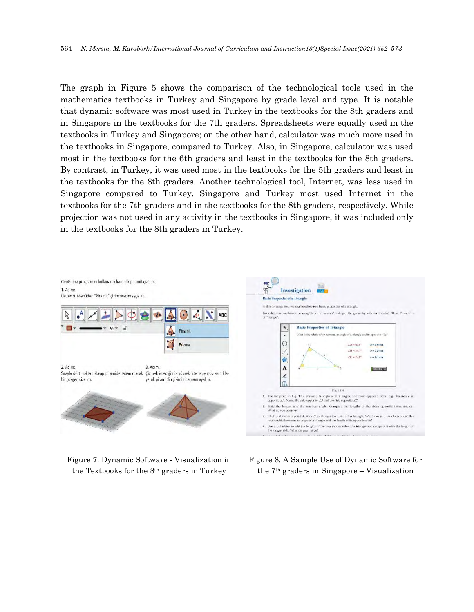The graph in Figure 5 shows the comparison of the technological tools used in the mathematics textbooks in Turkey and Singapore by grade level and type. It is notable that dynamic software was most used in Turkey in the textbooks for the 8th graders and in Singapore in the textbooks for the 7th graders. Spreadsheets were equally used in the textbooks in Turkey and Singapore; on the other hand, calculator was much more used in the textbooks in Singapore, compared to Turkey. Also, in Singapore, calculator was used most in the textbooks for the 6th graders and least in the textbooks for the 8th graders. By contrast, in Turkey, it was used most in the textbooks for the 5th graders and least in the textbooks for the 8th graders. Another technological tool, Internet, was less used in Singapore compared to Turkey. Singapore and Turkey most used Internet in the textbooks for the 7th graders and in the textbooks for the 8th graders, respectively. While projection was not used in any activity in the textbooks in Singapore, it was included only in the textbooks for the 8th graders in Turkey.



Figure 7. Dynamic Software - Visualization in the Textbooks for the 8th graders in Turkey

Figure 8. A Sample Use of Dynamic Software for the 7th graders in Singapore – Visualization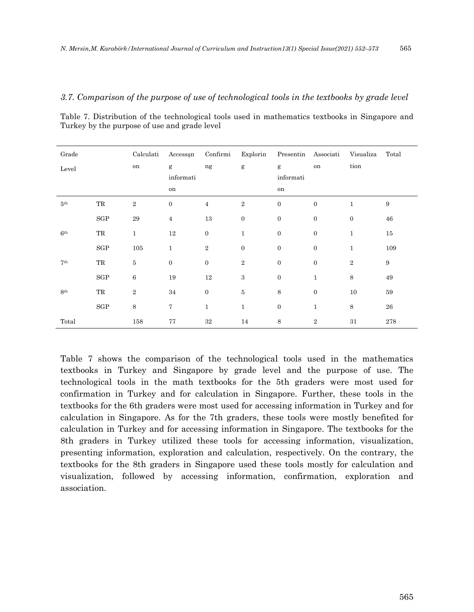#### *3.7. Comparison of the purpose of use of technological tools in the textbooks by grade level*

| Grade           |                     | Calculati    | Accesssn       | Confirmi       | Explorin         | Presentin        | Associati      | Visualiza    | Total            |
|-----------------|---------------------|--------------|----------------|----------------|------------------|------------------|----------------|--------------|------------------|
| Level           |                     | on           | g              | ng             | $\mathbf{g}$     | g                | on             | tion         |                  |
|                 |                     |              | informati      |                |                  | informati        |                |              |                  |
|                 |                     |              | on             |                |                  | on               |                |              |                  |
| 5 <sup>th</sup> | $\operatorname{TR}$ | $\,2$        | $\mathbf{0}$   | $\overline{4}$ | $\,2$            | $\mathbf{0}$     | $\mathbf{0}$   | $\mathbf{1}$ | $\boldsymbol{9}$ |
|                 | $_{\rm SGP}$        | $\bf 29$     | $\overline{4}$ | 13             | $\boldsymbol{0}$ | $\boldsymbol{0}$ | $\mathbf{0}$   | $\mathbf{0}$ | ${\bf 46}$       |
| 6 <sup>th</sup> | $\operatorname{TR}$ | $\mathbf{1}$ | 12             | $\mathbf{0}$   | $\mathbf{1}$     | $\mathbf{0}$     | $\mathbf{0}$   | $\mathbf{1}$ | $15\,$           |
|                 | SGP                 | 105          | $\mathbf{1}$   | $\,2\,$        | $\boldsymbol{0}$ | $\mathbf{0}$     | $\mathbf{0}$   | $\mathbf{1}$ | 109              |
| 7 <sup>th</sup> | $\operatorname{TR}$ | $\rm 5$      | $\mathbf{0}$   | $\mathbf{0}$   | $\,2$            | $\mathbf{0}$     | $\mathbf{0}$   | $\,2\,$      | $\boldsymbol{9}$ |
|                 | SGP                 | $\,6$        | 19             | $12\,$         | $\,3$            | $\mathbf{0}$     | $\mathbf{1}$   | 8            | 49               |
| 8 <sup>th</sup> | TR                  | $\,2$        | $34\,$         | $\mathbf{0}$   | $\bf 5$          | 8                | $\mathbf{0}$   | 10           | $59\,$           |
|                 | SGP                 | $\,8\,$      | 7              | $\mathbf{1}$   | $1\,$            | $\mathbf{0}$     | $\mathbf{1}$   | 8            | ${\bf 26}$       |
| Total           |                     | 158          | 77             | $32\,$         | 14               | $\,8\,$          | $\overline{2}$ | 31           | 278              |

Table 7. Distribution of the technological tools used in mathematics textbooks in Singapore and Turkey by the purpose of use and grade level

Table 7 shows the comparison of the technological tools used in the mathematics textbooks in Turkey and Singapore by grade level and the purpose of use. The technological tools in the math textbooks for the 5th graders were most used for confirmation in Turkey and for calculation in Singapore. Further, these tools in the textbooks for the 6th graders were most used for accessing information in Turkey and for calculation in Singapore. As for the 7th graders, these tools were mostly benefited for calculation in Turkey and for accessing information in Singapore. The textbooks for the 8th graders in Turkey utilized these tools for accessing information, visualization, presenting information, exploration and calculation, respectively. On the contrary, the textbooks for the 8th graders in Singapore used these tools mostly for calculation and visualization, followed by accessing information, confirmation, exploration and association.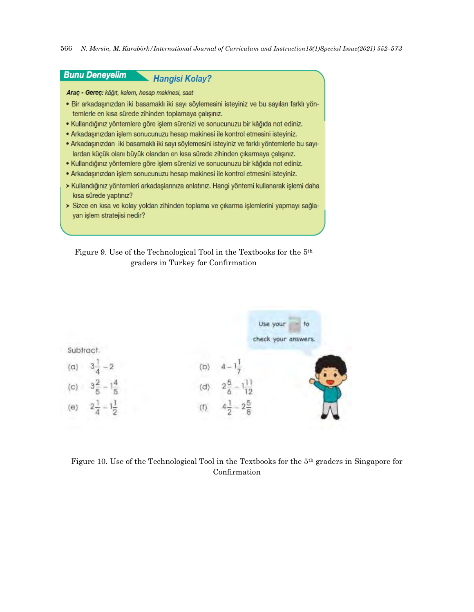

Figure 9. Use of the Technological Tool in the Textbooks for the 5th graders in Turkey for Confirmation



Figure 10. Use of the Technological Tool in the Textbooks for the 5th graders in Singapore for Confirmation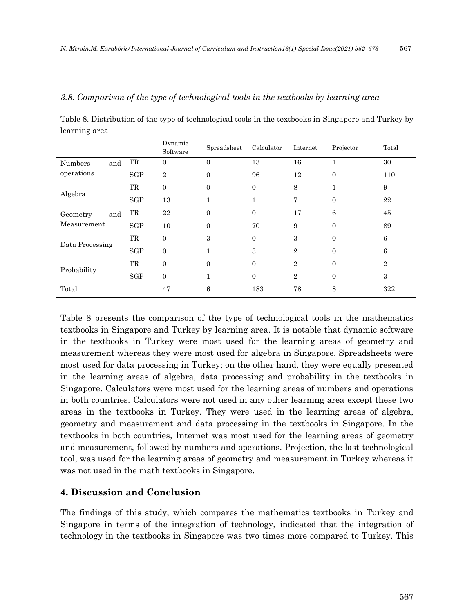#### *3.8. Comparison of the type of technological tools in the textbooks by learning area*

Table 8. Distribution of the type of technological tools in the textbooks in Singapore and Turkey by learning area

|                 |                     | Dynamic<br>Software | Spreadsheet    | Calculator | Internet       | Projector | Total          |
|-----------------|---------------------|---------------------|----------------|------------|----------------|-----------|----------------|
| Numbers<br>and  | $\rm TR$            | $\theta$            | $\overline{0}$ | 13         | 16             | 1         | 30             |
| operations      | SGP                 | $\sqrt{2}$          | $\Omega$       | 96         | 12             | $\Omega$  | 110            |
| Algebra         | $\operatorname{TR}$ | $\overline{0}$      | $\mathbf{0}$   | $\theta$   | 8              |           | 9              |
|                 | SGP                 | 13                  | 1              | 1          | 7              | $\Omega$  | 22             |
| and<br>Geometry | TR                  | 22                  | $\mathbf{0}$   | $\theta$   | 17             | 6         | 45             |
| Measurement     | SGP                 | 10                  | $\Omega$       | 70         | 9              | $\Omega$  | 89             |
| Data Processing | $\rm TR$            | $\overline{0}$      | 3              | $\Omega$   | 3              | $\Omega$  | 6              |
|                 | SGP                 | $\mathbf{0}$        | $\mathbf{1}$   | 3          | $\overline{2}$ | $\Omega$  | 6              |
| Probability     | TR                  | $\mathbf{0}$        | $\mathbf{0}$   | $\Omega$   | $\overline{2}$ | $\Omega$  | $\overline{2}$ |
|                 | SGP                 | $\boldsymbol{0}$    | 1              | $\theta$   | $\overline{2}$ | $\Omega$  | $\sqrt{3}$     |
| Total           |                     | 47                  | 6              | 183        | 78             | 8         | 322            |

Table 8 presents the comparison of the type of technological tools in the mathematics textbooks in Singapore and Turkey by learning area. It is notable that dynamic software in the textbooks in Turkey were most used for the learning areas of geometry and measurement whereas they were most used for algebra in Singapore. Spreadsheets were most used for data processing in Turkey; on the other hand, they were equally presented in the learning areas of algebra, data processing and probability in the textbooks in Singapore. Calculators were most used for the learning areas of numbers and operations in both countries. Calculators were not used in any other learning area except these two areas in the textbooks in Turkey. They were used in the learning areas of algebra, geometry and measurement and data processing in the textbooks in Singapore. In the textbooks in both countries, Internet was most used for the learning areas of geometry and measurement, followed by numbers and operations. Projection, the last technological tool, was used for the learning areas of geometry and measurement in Turkey whereas it was not used in the math textbooks in Singapore.

# **4. Discussion and Conclusion**

The findings of this study, which compares the mathematics textbooks in Turkey and Singapore in terms of the integration of technology, indicated that the integration of technology in the textbooks in Singapore was two times more compared to Turkey. This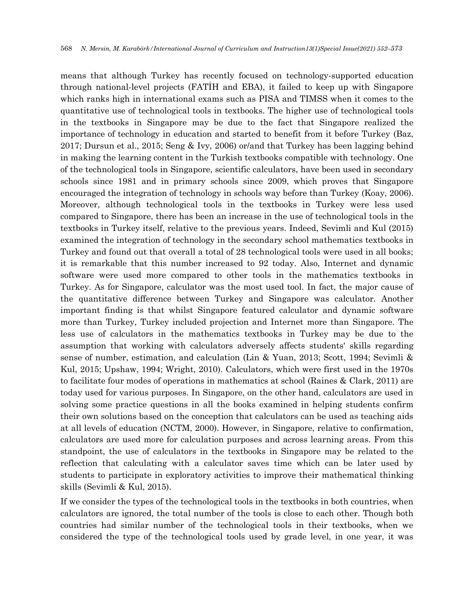means that although Turkey has recently focused on technology-supported education through national-level projects (FATİH and EBA), it failed to keep up with Singapore which ranks high in international exams such as PISA and TIMSS when it comes to the quantitative use of technological tools in textbooks. The higher use of technological tools in the textbooks in Singapore may be due to the fact that Singapore realized the importance of technology in education and started to benefit from it before Turkey (Baz, 2017; Dursun et al., 2015; Seng & Ivy, 2006) or/and that Turkey has been lagging behind in making the learning content in the Turkish textbooks compatible with technology. One of the technological tools in Singapore, scientific calculators, have been used in secondary schools since 1981 and in primary schools since 2009, which proves that Singapore encouraged the integration of technology in schools way before than Turkey (Koay, 2006). Moreover, although technological tools in the textbooks in Turkey were less used compared to Singapore, there has been an increase in the use of technological tools in the textbooks in Turkey itself, relative to the previous years. Indeed, Sevimli and Kul (2015) examined the integration of technology in the secondary school mathematics textbooks in Turkey and found out that overall a total of 28 technological tools were used in all books; it is remarkable that this number increased to 92 today. Also, Internet and dynamic software were used more compared to other tools in the mathematics textbooks in Turkey. As for Singapore, calculator was the most used tool. In fact, the major cause of the quantitative difference between Turkey and Singapore was calculator. Another important finding is that whilst Singapore featured calculator and dynamic software more than Turkey, Turkey included projection and Internet more than Singapore. The less use of calculators in the mathematics textbooks in Turkey may be due to the assumption that working with calculators adversely affects students' skills regarding sense of number, estimation, and calculation (Lin & Yuan, 2013; Scott, 1994; Sevimli & Kul, 2015; Upshaw, 1994; Wright, 2010). Calculators, which were first used in the 1970s to facilitate four modes of operations in mathematics at school (Raines & Clark, 2011) are today used for various purposes. In Singapore, on the other hand, calculators are used in solving some practice questions in all the books examined in helping students confirm their own solutions based on the conception that calculators can be used as teaching aids at all levels of education (NCTM, 2000). However, in Singapore, relative to confirmation, calculators are used more for calculation purposes and across learning areas. From this standpoint, the use of calculators in the textbooks in Singapore may be related to the reflection that calculating with a calculator saves time which can be later used by students to participate in exploratory activities to improve their mathematical thinking skills (Sevimli & Kul, 2015).

If we consider the types of the technological tools in the textbooks in both countries, when calculators are ignored, the total number of the tools is close to each other. Though both countries had similar number of the technological tools in their textbooks, when we considered the type of the technological tools used by grade level, in one year, it was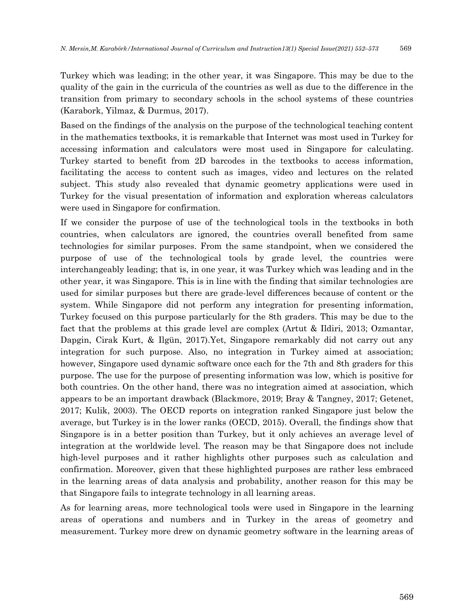Turkey which was leading; in the other year, it was Singapore. This may be due to the quality of the gain in the curricula of the countries as well as due to the difference in the transition from primary to secondary schools in the school systems of these countries (Karabork, Yilmaz, & Durmus, 2017).

Based on the findings of the analysis on the purpose of the technological teaching content in the mathematics textbooks, it is remarkable that Internet was most used in Turkey for accessing information and calculators were most used in Singapore for calculating. Turkey started to benefit from 2D barcodes in the textbooks to access information, facilitating the access to content such as images, video and lectures on the related subject. This study also revealed that dynamic geometry applications were used in Turkey for the visual presentation of information and exploration whereas calculators were used in Singapore for confirmation.

If we consider the purpose of use of the technological tools in the textbooks in both countries, when calculators are ignored, the countries overall benefited from same technologies for similar purposes. From the same standpoint, when we considered the purpose of use of the technological tools by grade level, the countries were interchangeably leading; that is, in one year, it was Turkey which was leading and in the other year, it was Singapore. This is in line with the finding that similar technologies are used for similar purposes but there are grade-level differences because of content or the system. While Singapore did not perform any integration for presenting information, Turkey focused on this purpose particularly for the 8th graders. This may be due to the fact that the problems at this grade level are complex (Artut & Ildiri, 2013; Ozmantar, Dapgin, Cirak Kurt, & Ilgün, 2017).Yet, Singapore remarkably did not carry out any integration for such purpose. Also, no integration in Turkey aimed at association; however, Singapore used dynamic software once each for the 7th and 8th graders for this purpose. The use for the purpose of presenting information was low, which is positive for both countries. On the other hand, there was no integration aimed at association, which appears to be an important drawback (Blackmore, 2019; Bray & Tangney, 2017; Getenet, 2017; Kulik, 2003). The OECD reports on integration ranked Singapore just below the average, but Turkey is in the lower ranks (OECD, 2015). Overall, the findings show that Singapore is in a better position than Turkey, but it only achieves an average level of integration at the worldwide level. The reason may be that Singapore does not include high-level purposes and it rather highlights other purposes such as calculation and confirmation. Moreover, given that these highlighted purposes are rather less embraced in the learning areas of data analysis and probability, another reason for this may be that Singapore fails to integrate technology in all learning areas.

As for learning areas, more technological tools were used in Singapore in the learning areas of operations and numbers and in Turkey in the areas of geometry and measurement. Turkey more drew on dynamic geometry software in the learning areas of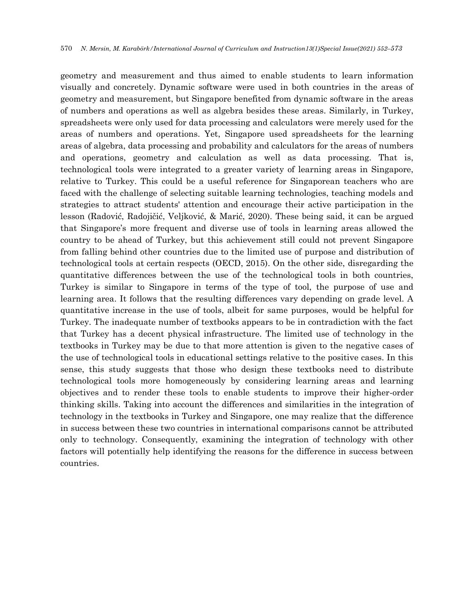geometry and measurement and thus aimed to enable students to learn information visually and concretely. Dynamic software were used in both countries in the areas of geometry and measurement, but Singapore benefited from dynamic software in the areas of numbers and operations as well as algebra besides these areas. Similarly, in Turkey, spreadsheets were only used for data processing and calculators were merely used for the areas of numbers and operations. Yet, Singapore used spreadsheets for the learning areas of algebra, data processing and probability and calculators for the areas of numbers and operations, geometry and calculation as well as data processing. That is, technological tools were integrated to a greater variety of learning areas in Singapore, relative to Turkey. This could be a useful reference for Singaporean teachers who are faced with the challenge of selecting suitable learning technologies, teaching models and strategies to attract students' attention and encourage their active participation in the lesson (Radović, Radojičić, Veljković, & Marić, 2020). These being said, it can be argued that Singapore's more frequent and diverse use of tools in learning areas allowed the country to be ahead of Turkey, but this achievement still could not prevent Singapore from falling behind other countries due to the limited use of purpose and distribution of technological tools at certain respects (OECD, 2015). On the other side, disregarding the quantitative differences between the use of the technological tools in both countries, Turkey is similar to Singapore in terms of the type of tool, the purpose of use and learning area. It follows that the resulting differences vary depending on grade level. A quantitative increase in the use of tools, albeit for same purposes, would be helpful for Turkey. The inadequate number of textbooks appears to be in contradiction with the fact that Turkey has a decent physical infrastructure. The limited use of technology in the textbooks in Turkey may be due to that more attention is given to the negative cases of the use of technological tools in educational settings relative to the positive cases. In this sense, this study suggests that those who design these textbooks need to distribute technological tools more homogeneously by considering learning areas and learning objectives and to render these tools to enable students to improve their higher-order thinking skills. Taking into account the differences and similarities in the integration of technology in the textbooks in Turkey and Singapore, one may realize that the difference in success between these two countries in international comparisons cannot be attributed only to technology. Consequently, examining the integration of technology with other factors will potentially help identifying the reasons for the difference in success between countries.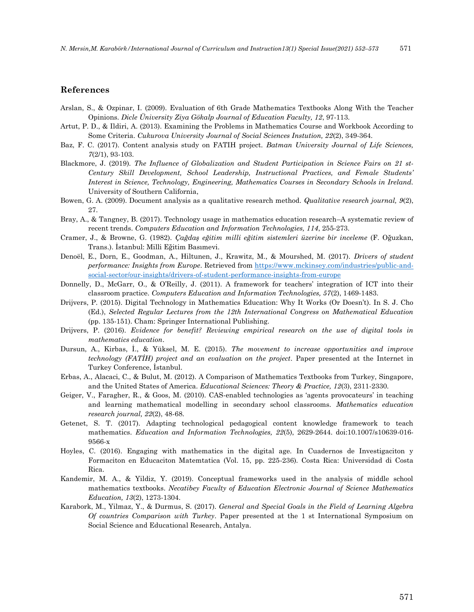#### **References**

- Arslan, S., & Ozpinar, I. (2009). Evaluation of 6th Grade Mathematics Textbooks Along With the Teacher Opinions. *Dicle Üniversity Ziya Gökalp Journal of Education Faculty, 12*, 97-113.
- Artut, P. D., & Ildiri, A. (2013). Examining the Problems in Mathematics Course and Workbook According to Some Criteria. *Cukurova University Journal of Social Sciences Instution, 22*(2), 349-364.
- Baz, F. C. (2017). Content analysis study on FATIH project. *Batman University Journal of Life Sciences, 7*(2/1), 93-103.
- Blackmore, J. (2019). *The Influence of Globalization and Student Participation in Science Fairs on 21 st-Century Skill Development, School Leadership, Instructional Practices, and Female Students' Interest in Science, Technology, Engineering, Mathematics Courses in Secondary Schools in Ireland.* University of Southern California,
- Bowen, G. A. (2009). Document analysis as a qualitative research method. *Qualitative research journal, 9*(2), 27.
- Bray, A., & Tangney, B. (2017). Technology usage in mathematics education research–A systematic review of recent trends. *Computers Education and Information Technologies, 114*, 255-273.
- Cramer, J., & Browne, G. (1982). *Çağdaş eğitim milli eğitim sistemleri üzerine bir inceleme* (F. Oğuzkan, Trans.). İstanbul: Milli Eğitim Basımevi.
- Denoël, E., Dorn, E., Goodman, A., Hiltunen, J., Krawitz, M., & Mourshed, M. (2017). *Drivers of student performance: Insights from Europe*. Retrieved from [https://www.mckinsey.com/industries/public-and](https://www.mckinsey.com/industries/public-and-social-sector/our-insights/drivers-of-student-performance-insights-from-europe)[social-sector/our-insights/drivers-of-student-performance-insights-from-europe](https://www.mckinsey.com/industries/public-and-social-sector/our-insights/drivers-of-student-performance-insights-from-europe)
- Donnelly, D., McGarr, O., & O'Reilly, J. (2011). A framework for teachers' integration of ICT into their classroom practice. *Computers Education and Information Technologies, 57*(2), 1469-1483.
- Drijvers, P. (2015). Digital Technology in Mathematics Education: Why It Works (Or Doesn't). In S. J. Cho (Ed.), *Selected Regular Lectures from the 12th International Congress on Mathematical Education* (pp. 135-151). Cham: Springer International Publishing.
- Drijvers, P. (2016). *Evidence for benefit? Reviewing empirical research on the use of digital tools in mathematics education*.
- Dursun, A., Kirbas, İ., & Yüksel, M. E. (2015). *The movement to increase opportunities and improve technology (FATİH) project and an evaluation on the project*. Paper presented at the Internet in Turkey Conference, İstanbul.
- Erbas, A., Alacaci, C., & Bulut, M. (2012). A Comparison of Mathematics Textbooks from Turkey, Singapore, and the United States of America. *Educational Sciences: Theory & Practice, 12*(3), 2311-2330.
- Geiger, V., Faragher, R., & Goos, M. (2010). CAS-enabled technologies as 'agents provocateurs' in teaching and learning mathematical modelling in secondary school classrooms. *Mathematics education research journal, 22*(2), 48-68.
- Getenet, S. T. (2017). Adapting technological pedagogical content knowledge framework to teach mathematics. *Education and Information Technologies, 22*(5), 2629-2644. doi:10.1007/s10639-016- 9566-x
- Hoyles, C. (2016). Engaging with mathematics in the digital age. In Cuadernos de Investigaciton y Formaciton en Educaciton Matemtatica (Vol. 15, pp. 225-236). Costa Rica: Universidad di Costa Rica.
- Kandemir, M. A., & Yildiz, Y. (2019). Conceptual frameworks used in the analysis of middle school mathematics textbooks. *Necatibey Faculty of Education Electronic Journal of Science Mathematics Education, 13*(2), 1273-1304.
- Karabork, M., Yilmaz, Y., & Durmus, S. (2017). *General and Special Goals in the Field of Learning Algebra Of countries Comparison with Turkey*. Paper presented at the 1 st International Symposium on Social Science and Educational Research, Antalya.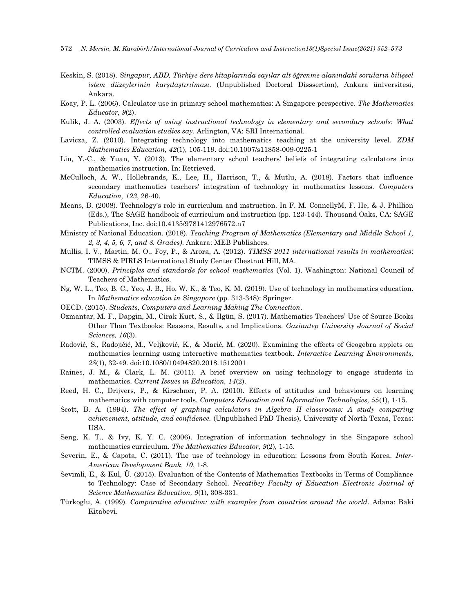- Keskin, S. (2018). *Singapur, ABD, Türkiye ders kitaplarında sayılar alt öğrenme alanındaki soruların bilişsel istem düzeylerinin karşılaştırılması.* (Unpublished Doctoral Disssertion), Ankara üniversitesi, Ankara.
- Koay, P. L. (2006). Calculator use in primary school mathematics: A Singapore perspective. *The Mathematics Educator, 9*(2).
- Kulik, J. A. (2003). *Effects of using instructional technology in elementary and secondary schools: What controlled evaluation studies say*. Arlington, VA: SRI International.
- Lavicza, Z. (2010). Integrating technology into mathematics teaching at the university level. *ZDM Mathematics Education, 42*(1), 105-119. doi:10.1007/s11858-009-0225-1
- Lin, Y.-C., & Yuan, Y. (2013). The elementary school teachers' beliefs of integrating calculators into mathematics instruction. In: Retrieved.
- McCulloch, A. W., Hollebrands, K., Lee, H., Harrison, T., & Mutlu, A. (2018). Factors that influence secondary mathematics teachers' integration of technology in mathematics lessons. *Computers Education, 123*, 26-40.
- Means, B. (2008). Technology's role in curriculum and instruction. In F. M. ConnellyM, F. He, & J. Phillion (Eds.), The SAGE handbook of curriculum and instruction (pp. 123-144). Thousand Oaks, CA: SAGE Publications, Inc. doi:10.4135/9781412976572.n7
- Ministry of National Education. (2018). *Teaching Program of Mathematics (Elementary and Middle School 1, 2, 3, 4, 5, 6, 7, and 8. Grades)*. Ankara: MEB Publishers.
- Mullis, I. V., Martin, M. O., Foy, P., & Arora, A. (2012). *TIMSS 2011 international results in mathematics*: TIMSS & PIRLS International Study Center Chestnut Hill, MA.
- NCTM. (2000). *Principles and standards for school mathematics* (Vol. 1). Washington: National Council of Teachers of Mathematics.
- Ng, W. L., Teo, B. C., Yeo, J. B., Ho, W. K., & Teo, K. M. (2019). Use of technology in mathematics education. In *Mathematics education in Singapore* (pp. 313-348): Springer.
- OECD. (2015). *Students, Computers and Learning Making The Connection*.
- Ozmantar, M. F., Dapgin, M., Cirak Kurt, S., & Ilgün, S. (2017). Mathematics Teachers' Use of Source Books Other Than Textbooks: Reasons, Results, and Implications. *Gaziantep University Journal of Social Sciences, 16*(3).
- Radović, S., Radojičić, M., Veljković, K., & Marić, M. (2020). Examining the effects of Geogebra applets on mathematics learning using interactive mathematics textbook. *Interactive Learning Environments, 28*(1), 32-49. doi:10.1080/10494820.2018.1512001
- Raines, J. M., & Clark, L. M. (2011). A brief overview on using technology to engage students in mathematics. *Current Issues in Education, 14*(2).
- Reed, H. C., Drijvers, P., & Kirschner, P. A. (2010). Effects of attitudes and behaviours on learning mathematics with computer tools. *Computers Education and Information Technologies, 55*(1), 1-15.
- Scott, B. A. (1994). *The effect of graphing calculators in Algebra II classrooms: A study comparing achievement, attitude, and confidence.* (Unpublished PhD Thesis), University of North Texas, Texas: USA.
- Seng, K. T., & Ivy, K. Y. C. (2006). Integration of information technology in the Singapore school mathematics curriculum. *The Mathematics Educator, 9*(2), 1-15.
- Severin, E., & Capota, C. (2011). The use of technology in education: Lessons from South Korea. *Inter-American Development Bank, 10*, 1-8.
- Sevimli, E., & Kul, Ü. (2015). Evaluation of the Contents of Mathematics Textbooks in Terms of Compliance to Technology: Case of Secondary School. *Necatibey Faculty of Education Electronic Journal of Science Mathematics Education, 9*(1), 308-331.
- Türkoglu, A. (1999). *Comparative education: with examples from countries around the world*. Adana: Baki Kitabevi.